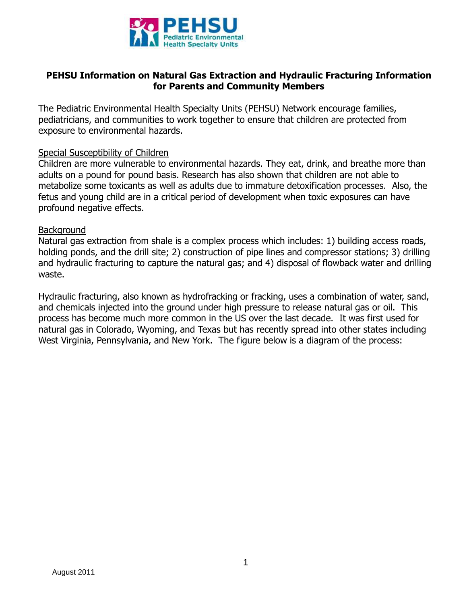

### **PEHSU Information on Natural Gas Extraction and Hydraulic Fracturing Information for Parents and Community Members**

The Pediatric Environmental Health Specialty Units (PEHSU) Network encourage families, pediatricians, and communities to work together to ensure that children are protected from exposure to environmental hazards.

#### Special Susceptibility of Children

Children are more vulnerable to environmental hazards. They eat, drink, and breathe more than adults on a pound for pound basis. Research has also shown that children are not able to metabolize some toxicants as well as adults due to immature detoxification processes. Also, the fetus and young child are in a critical period of development when toxic exposures can have profound negative effects.

#### Background

Natural gas extraction from shale is a complex process which includes: 1) building access roads, holding ponds, and the drill site; 2) construction of pipe lines and compressor stations; 3) drilling and hydraulic fracturing to capture the natural gas; and 4) disposal of flowback water and drilling waste.

Hydraulic fracturing, also known as hydrofracking or fracking, uses a combination of water, sand, and chemicals injected into the ground under high pressure to release natural gas or oil. This process has become much more common in the US over the last decade. It was first used for natural gas in Colorado, Wyoming, and Texas but has recently spread into other states including West Virginia, Pennsylvania, and New York. The figure below is a diagram of the process: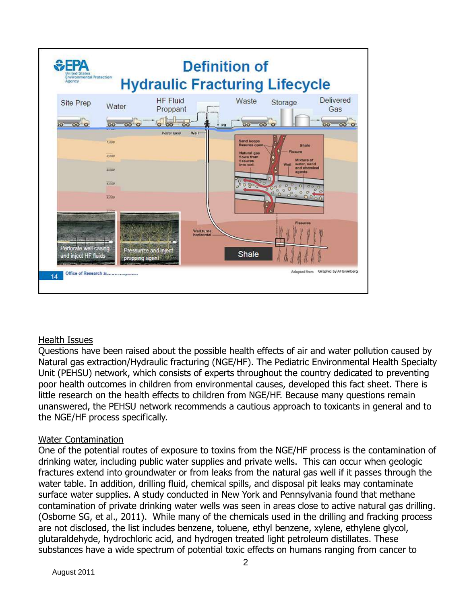

### Health Issues

Questions have been raised about the possible health effects of air and water pollution caused by Natural gas extraction/Hydraulic fracturing (NGE/HF). The Pediatric Environmental Health Specialty Unit (PEHSU) network, which consists of experts throughout the country dedicated to preventing poor health outcomes in children from environmental causes, developed this fact sheet. There is little research on the health effects to children from NGE/HF. Because many questions remain unanswered, the PEHSU network recommends a cautious approach to toxicants in general and to the NGE/HF process specifically.

### Water Contamination

One of the potential routes of exposure to toxins from the NGE/HF process is the contamination of drinking water, including public water supplies and private wells. This can occur when geologic fractures extend into groundwater or from leaks from the natural gas well if it passes through the water table. In addition, drilling fluid, chemical spills, and disposal pit leaks may contaminate surface water supplies. A study conducted in New York and Pennsylvania found that methane contamination of private drinking water wells was seen in areas close to active natural gas drilling. (Osborne SG, et al., 2011). While many of the chemicals used in the drilling and fracking process are not disclosed, the list includes benzene, toluene, ethyl benzene, xylene, ethylene glycol, glutaraldehyde, hydrochloric acid, and hydrogen treated light petroleum distillates. These substances have a wide spectrum of potential toxic effects on humans ranging from cancer to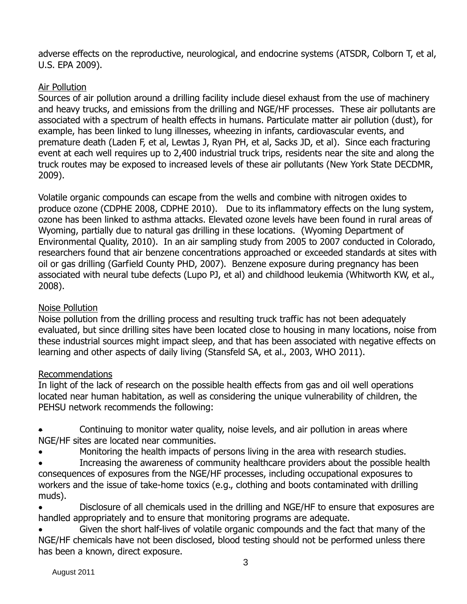adverse effects on the reproductive, neurological, and endocrine systems (ATSDR, Colborn T, et al, U.S. EPA 2009).

# Air Pollution

Sources of air pollution around a drilling facility include diesel exhaust from the use of machinery and heavy trucks, and emissions from the drilling and NGE/HF processes. These air pollutants are associated with a spectrum of health effects in humans. Particulate matter air pollution (dust), for example, has been linked to lung illnesses, wheezing in infants, cardiovascular events, and premature death (Laden F, et al, Lewtas J, Ryan PH, et al, Sacks JD, et al). Since each fracturing event at each well requires up to 2,400 industrial truck trips, residents near the site and along the truck routes may be exposed to increased levels of these air pollutants (New York State DECDMR, 2009).

Volatile organic compounds can escape from the wells and combine with nitrogen oxides to produce ozone (CDPHE 2008, CDPHE 2010). Due to its inflammatory effects on the lung system, ozone has been linked to asthma attacks. Elevated ozone levels have been found in rural areas of Wyoming, partially due to natural gas drilling in these locations. (Wyoming Department of Environmental Quality, 2010). In an air sampling study from 2005 to 2007 conducted in Colorado, researchers found that air benzene concentrations approached or exceeded standards at sites with oil or gas drilling (Garfield County PHD, 2007). Benzene exposure during pregnancy has been associated with neural tube defects (Lupo PJ, et al) and childhood leukemia (Whitworth KW, et al., 2008).

## Noise Pollution

Noise pollution from the drilling process and resulting truck traffic has not been adequately evaluated, but since drilling sites have been located close to housing in many locations, noise from these industrial sources might impact sleep, and that has been associated with negative effects on learning and other aspects of daily living (Stansfeld SA, et al., 2003, WHO 2011).

## Recommendations

In light of the lack of research on the possible health effects from gas and oil well operations located near human habitation, as well as considering the unique vulnerability of children, the PEHSU network recommends the following:

- Continuing to monitor water quality, noise levels, and air pollution in areas where NGE/HF sites are located near communities.
- Monitoring the health impacts of persons living in the area with research studies.
- Increasing the awareness of community healthcare providers about the possible health consequences of exposures from the NGE/HF processes, including occupational exposures to workers and the issue of take-home toxics (e.g., clothing and boots contaminated with drilling muds).
- Disclosure of all chemicals used in the drilling and NGE/HF to ensure that exposures are handled appropriately and to ensure that monitoring programs are adequate.
- Given the short half-lives of volatile organic compounds and the fact that many of the NGE/HF chemicals have not been disclosed, blood testing should not be performed unless there has been a known, direct exposure.